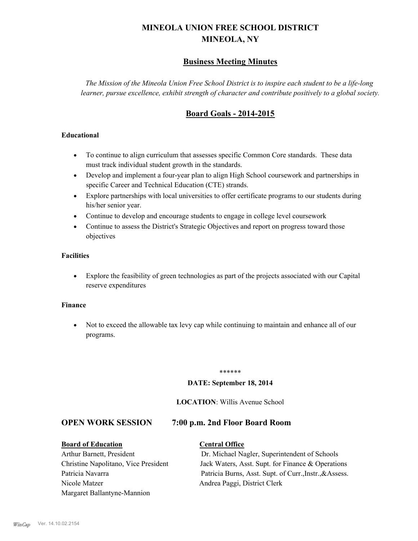# **MINEOLA UNION FREE SCHOOL DISTRICT MINEOLA, NY**

# **Business Meeting Minutes**

*The Mission of the Mineola Union Free School District is to inspire each student to be a life-long learner, pursue excellence, exhibit strength of character and contribute positively to a global society.*

# **Board Goals - 2014-2015**

#### **Educational**

- · To continue to align curriculum that assesses specific Common Core standards. These data must track individual student growth in the standards.
- · Develop and implement a four-year plan to align High School coursework and partnerships in specific Career and Technical Education (CTE) strands.
- · Explore partnerships with local universities to offer certificate programs to our students during his/her senior year.
- · Continue to develop and encourage students to engage in college level coursework
- Continue to assess the District's Strategic Objectives and report on progress toward those objectives

#### **Facilities**

· Explore the feasibility of green technologies as part of the projects associated with our Capital reserve expenditures

#### **Finance**

· Not to exceed the allowable tax levy cap while continuing to maintain and enhance all of our programs.

#### \*\*\*\*\*\*

#### **DATE: September 18, 2014**

#### **LOCATION**: Willis Avenue School

### **OPEN WORK SESSION 7:00 p.m. 2nd Floor Board Room**

# **Board of Education Central Office**

# Nicole Matzer Andrea Paggi, District Clerk Margaret Ballantyne-Mannion

Arthur Barnett, President Dr. Michael Nagler, Superintendent of Schools Christine Napolitano, Vice President Jack Waters, Asst. Supt. for Finance & Operations Patricia Navarra Patricia Burns, Asst. Supt. of Curr., Instr., &Assess.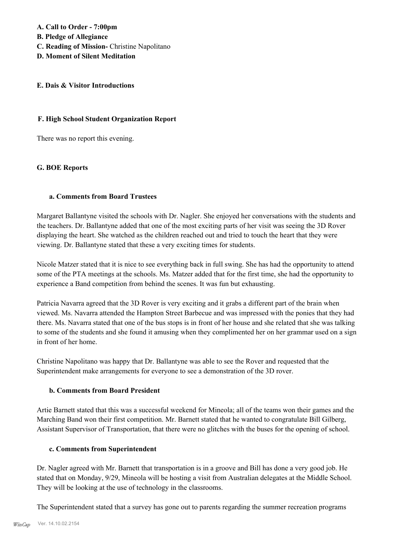**A. Call to Order - 7:00pm B. Pledge of Allegiance**

- **C. Reading of Mission-** Christine Napolitano
- **D. Moment of Silent Meditation**

#### **E. Dais & Visitor Introductions**

#### **F. High School Student Organization Report**

There was no report this evening.

#### **G. BOE Reports**

#### **a. Comments from Board Trustees**

Margaret Ballantyne visited the schools with Dr. Nagler. She enjoyed her conversations with the students and the teachers. Dr. Ballantyne added that one of the most exciting parts of her visit was seeing the 3D Rover displaying the heart. She watched as the children reached out and tried to touch the heart that they were viewing. Dr. Ballantyne stated that these a very exciting times for students.

Nicole Matzer stated that it is nice to see everything back in full swing. She has had the opportunity to attend some of the PTA meetings at the schools. Ms. Matzer added that for the first time, she had the opportunity to experience a Band competition from behind the scenes. It was fun but exhausting.

Patricia Navarra agreed that the 3D Rover is very exciting and it grabs a different part of the brain when viewed. Ms. Navarra attended the Hampton Street Barbecue and was impressed with the ponies that they had there. Ms. Navarra stated that one of the bus stops is in front of her house and she related that she was talking to some of the students and she found it amusing when they complimented her on her grammar used on a sign in front of her home.

Christine Napolitano was happy that Dr. Ballantyne was able to see the Rover and requested that the Superintendent make arrangements for everyone to see a demonstration of the 3D rover.

#### **b. Comments from Board President**

Artie Barnett stated that this was a successful weekend for Mineola; all of the teams won their games and the Marching Band won their first competition. Mr. Barnett stated that he wanted to congratulate Bill Gilberg, Assistant Supervisor of Transportation, that there were no glitches with the buses for the opening of school.

# **c. Comments from Superintendent**

Dr. Nagler agreed with Mr. Barnett that transportation is in a groove and Bill has done a very good job. He stated that on Monday, 9/29, Mineola will be hosting a visit from Australian delegates at the Middle School. They will be looking at the use of technology in the classrooms.

The Superintendent stated that a survey has gone out to parents regarding the summer recreation programs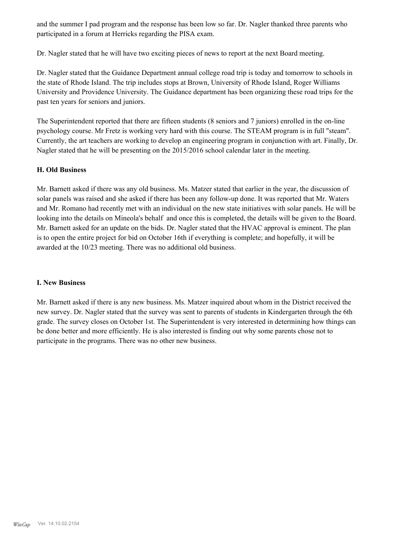and the summer I pad program and the response has been low so far. Dr. Nagler thanked three parents who participated in a forum at Herricks regarding the PISA exam.

Dr. Nagler stated that he will have two exciting pieces of news to report at the next Board meeting.

Dr. Nagler stated that the Guidance Department annual college road trip is today and tomorrow to schools in the state of Rhode Island. The trip includes stops at Brown, University of Rhode Island, Roger Williams University and Providence University. The Guidance department has been organizing these road trips for the past ten years for seniors and juniors.

The Superintendent reported that there are fifteen students (8 seniors and 7 juniors) enrolled in the on-line psychology course. Mr Fretz is working very hard with this course. The STEAM program is in full "steam". Currently, the art teachers are working to develop an engineering program in conjunction with art. Finally, Dr. Nagler stated that he will be presenting on the 2015/2016 school calendar later in the meeting.

#### **H. Old Business**

Mr. Barnett asked if there was any old business. Ms. Matzer stated that earlier in the year, the discussion of solar panels was raised and she asked if there has been any follow-up done. It was reported that Mr. Waters and Mr. Romano had recently met with an individual on the new state initiatives with solar panels. He will be looking into the details on Mineola's behalf and once this is completed, the details will be given to the Board. Mr. Barnett asked for an update on the bids. Dr. Nagler stated that the HVAC approval is eminent. The plan is to open the entire project for bid on October 16th if everything is complete; and hopefully, it will be awarded at the 10/23 meeting. There was no additional old business.

#### **I. New Business**

Mr. Barnett asked if there is any new business. Ms. Matzer inquired about whom in the District received the new survey. Dr. Nagler stated that the survey was sent to parents of students in Kindergarten through the 6th grade. The survey closes on October 1st. The Superintendent is very interested in determining how things can be done better and more efficiently. He is also interested is finding out why some parents chose not to participate in the programs. There was no other new business.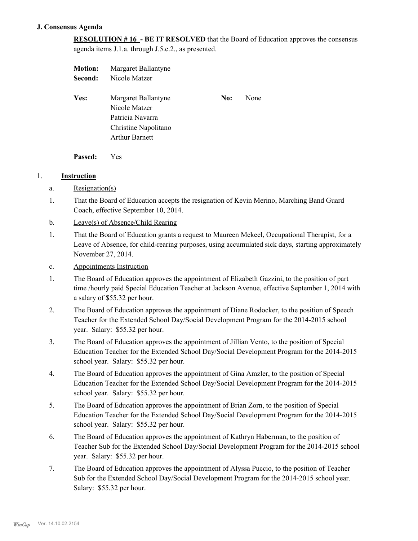#### **J. Consensus Agenda**

**RESOLUTION # 16 - BE IT RESOLVED** that the Board of Education approves the consensus agenda items J.1.a. through J.5.c.2., as presented.

| <b>Motion:</b> | Margaret Ballantyne   |     |      |
|----------------|-----------------------|-----|------|
| Second:        | Nicole Matzer         |     |      |
| Yes:           | Margaret Ballantyne   | No: | None |
|                | Nicole Matzer         |     |      |
|                | Patricia Navarra      |     |      |
|                | Christine Napolitano  |     |      |
|                | <b>Arthur Barnett</b> |     |      |
|                |                       |     |      |

**Passed:** Yes

#### 1. **Instruction**

- a. Resignation(s)
- That the Board of Education accepts the resignation of Kevin Merino, Marching Band Guard Coach, effective September 10, 2014. 1.
- b. Leave(s) of Absence/Child Rearing
- That the Board of Education grants a request to Maureen Mekeel, Occupational Therapist, for a Leave of Absence, for child-rearing purposes, using accumulated sick days, starting approximately November 27, 2014. 1.
- c. Appointments Instruction
- The Board of Education approves the appointment of Elizabeth Gazzini, to the position of part time /hourly paid Special Education Teacher at Jackson Avenue, effective September 1, 2014 with a salary of \$55.32 per hour. 1.
- The Board of Education approves the appointment of Diane Rodocker, to the position of Speech Teacher for the Extended School Day/Social Development Program for the 2014-2015 school year. Salary: \$55.32 per hour. 2.
- The Board of Education approves the appointment of Jillian Vento, to the position of Special Education Teacher for the Extended School Day/Social Development Program for the 2014-2015 school year. Salary: \$55.32 per hour. 3.
- The Board of Education approves the appointment of Gina Amzler, to the position of Special Education Teacher for the Extended School Day/Social Development Program for the 2014-2015 school year. Salary: \$55.32 per hour. 4.
- The Board of Education approves the appointment of Brian Zorn, to the position of Special Education Teacher for the Extended School Day/Social Development Program for the 2014-2015 school year. Salary: \$55.32 per hour. 5.
- The Board of Education approves the appointment of Kathryn Haberman, to the position of Teacher Sub for the Extended School Day/Social Development Program for the 2014-2015 school year. Salary: \$55.32 per hour. 6.
- The Board of Education approves the appointment of Alyssa Puccio, to the position of Teacher Sub for the Extended School Day/Social Development Program for the 2014-2015 school year. Salary: \$55.32 per hour. 7.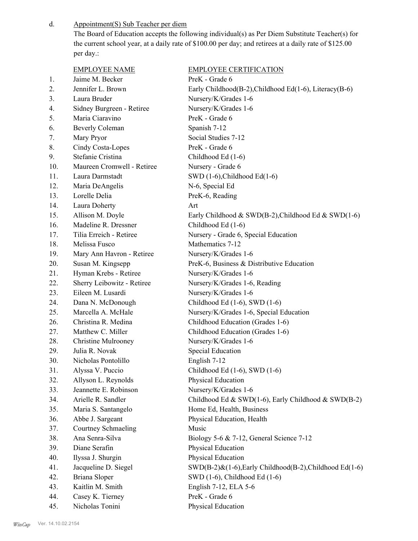Appointment(S) Sub Teacher per diem d.

> The Board of Education accepts the following individual(s) as Per Diem Substitute Teacher(s) for the current school year, at a daily rate of \$100.00 per day; and retirees at a daily rate of \$125.00 per day.:

|     | <b>EMPLOYEE NAME</b>       | <b>EMPLOYEE CERTIFICATION</b>                           |
|-----|----------------------------|---------------------------------------------------------|
| 1.  | Jaime M. Becker            | PreK - Grade 6                                          |
| 2.  | Jennifer L. Brown          | Early Childhood(B-2), Childhood Ed(1-6), Literacy(B-6)  |
| 3.  | Laura Bruder               | Nursery/K/Grades 1-6                                    |
| 4.  | Sidney Burgreen - Retiree  | Nursery/K/Grades 1-6                                    |
| 5.  | Maria Ciaravino            | PreK - Grade 6                                          |
| 6.  | <b>Beverly Coleman</b>     | Spanish 7-12                                            |
| 7.  | Mary Pryor                 | Social Studies 7-12                                     |
| 8.  | Cindy Costa-Lopes          | PreK - Grade 6                                          |
| 9.  | Stefanie Cristina          | Childhood Ed (1-6)                                      |
| 10. | Maureen Cromwell - Retiree | Nursery - Grade 6                                       |
| 11. | Laura Darmstadt            | SWD $(1-6)$ , Childhood Ed $(1-6)$                      |
| 12. | Maria DeAngelis            | N-6, Special Ed                                         |
| 13. | Lorelle Delia              | PreK-6, Reading                                         |
| 14. | Laura Doherty              | Art                                                     |
| 15. | Allison M. Doyle           | Early Childhood & SWD(B-2), Childhood Ed & SWD(1-6)     |
| 16. | Madeline R. Dressner       | Childhood Ed (1-6)                                      |
| 17. | Tilia Erreich - Retiree    | Nursery - Grade 6, Special Education                    |
| 18. | Melissa Fusco              | Mathematics 7-12                                        |
| 19. | Mary Ann Havron - Retiree  | Nursery/K/Grades 1-6                                    |
| 20. | Susan M. Kingsepp          | PreK-6, Business & Distributive Education               |
| 21. | Hyman Krebs - Retiree      | Nursery/K/Grades 1-6                                    |
| 22. | Sherry Leibowitz - Retiree | Nursery/K/Grades 1-6, Reading                           |
| 23. | Eileen M. Lusardi          | Nursery/K/Grades 1-6                                    |
| 24. | Dana N. McDonough          | Childhood Ed $(1-6)$ , SWD $(1-6)$                      |
| 25. | Marcella A. McHale         | Nursery/K/Grades 1-6, Special Education                 |
| 26. | Christina R. Medina        | Childhood Education (Grades 1-6)                        |
| 27. | Matthew C. Miller          | Childhood Education (Grades 1-6)                        |
| 28. | <b>Christine Mulrooney</b> | Nursery/K/Grades 1-6                                    |
| 29. | Julia R. Novak             | <b>Special Education</b>                                |
| 30. | Nicholas Pontolillo        | English 7-12                                            |
| 31. | Alyssa V. Puccio           | Childhood Ed (1-6), SWD (1-6)                           |
| 32. | Allyson L. Reynolds        | Physical Education                                      |
| 33. | Jeannette E. Robinson      | Nursery/K/Grades 1-6                                    |
| 34. | Arielle R. Sandler         | Childhood Ed & SWD(1-6), Early Childhood & SWD(B-2)     |
| 35. | Maria S. Santangelo        | Home Ed, Health, Business                               |
| 36. | Abbe J. Sargeant           | Physical Education, Health                              |
| 37. | Courtney Schmaeling        | Music                                                   |
| 38. | Ana Senra-Silva            | Biology 5-6 & 7-12, General Science 7-12                |
| 39. | Diane Serafin              | Physical Education                                      |
| 40. | Ilyssa J. Shurgin          | Physical Education                                      |
| 41. | Jacqueline D. Siegel       | SWD(B-2)&(1-6), Early Childhood(B-2), Childhood Ed(1-6) |
| 42. | <b>Briana Sloper</b>       | SWD (1-6), Childhood Ed (1-6)                           |
| 43. | Kaitlin M. Smith           | English 7-12, ELA 5-6                                   |
| 44. | Casey K. Tierney           | PreK - Grade 6                                          |
| 45. | Nicholas Tonini            | Physical Education                                      |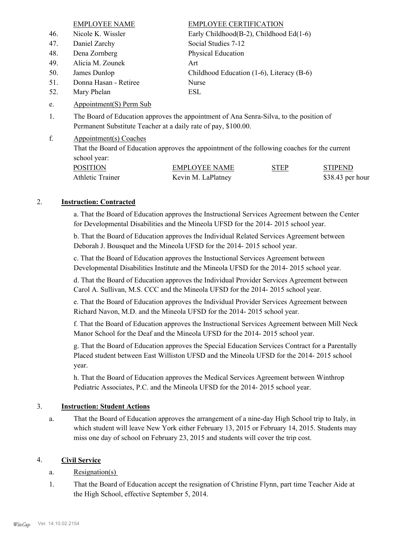|     | <b>EMPLOYEE NAME</b>                                           | <b>EMPLOYEE CERTIFICATION</b>                                                            |
|-----|----------------------------------------------------------------|------------------------------------------------------------------------------------------|
| 46. | Nicole K. Wissler                                              | Early Childhood(B-2), Childhood Ed(1-6)                                                  |
| 47. | Daniel Zarchy                                                  | Social Studies 7-12                                                                      |
| 48. | Dena Zornberg                                                  | Physical Education                                                                       |
| 49. | Alicia M. Zounek                                               | Art                                                                                      |
| 50. | James Dunlop                                                   | Childhood Education (1-6), Literacy (B-6)                                                |
| 51. | Donna Hasan - Retiree                                          | Nurse                                                                                    |
| 52. | Mary Phelan                                                    | ESL                                                                                      |
| e.  | Appointment(S) Perm Sub                                        |                                                                                          |
| 1.  | Permanent Substitute Teacher at a daily rate of pay, \$100.00. | The Board of Education approves the appointment of Ana Senra-Silva, to the position of   |
| f.  | Appointment(s) Coaches                                         | That the Deand of Education environs the envelopment of the following escales for the au |

That the Board of Education approves the appointment of the following coaches for the current school year:

| <b>POSITION</b>  | EMPLOYEE NAME      | <b>STEP</b> | <b>STIPEND</b>    |
|------------------|--------------------|-------------|-------------------|
| Athletic Trainer | Kevin M. LaPlatney |             | $$38.43$ per hour |

#### 2. **Instruction: Contracted**

a. That the Board of Education approves the Instructional Services Agreement between the Center for Developmental Disabilities and the Mineola UFSD for the 2014- 2015 school year.

b. That the Board of Education approves the Individual Related Services Agreement between Deborah J. Bousquet and the Mineola UFSD for the 2014- 2015 school year.

c. That the Board of Education approves the Instuctional Services Agreement between Developmental Disabilities Institute and the Mineola UFSD for the 2014- 2015 school year.

d. That the Board of Education approves the Individual Provider Services Agreement between Carol A. Sullivan, M.S. CCC and the Mineola UFSD for the 2014- 2015 school year.

e. That the Board of Education approves the Individual Provider Services Agreement between Richard Navon, M.D. and the Mineola UFSD for the 2014- 2015 school year.

f. That the Board of Education approves the Instructional Services Agreement between Mill Neck Manor School for the Deaf and the Mineola UFSD for the 2014- 2015 school year.

g. That the Board of Education approves the Special Education Services Contract for a Parentally Placed student between East Williston UFSD and the Mineola UFSD for the 2014- 2015 school year.

h. That the Board of Education approves the Medical Services Agreement between Winthrop Pediatric Associates, P.C. and the Mineola UFSD for the 2014- 2015 school year.

#### 3. **Instruction: Student Actions**

That the Board of Education approves the arrangement of a nine-day High School trip to Italy, in which student will leave New York either February 13, 2015 or February 14, 2015. Students may miss one day of school on February 23, 2015 and students will cover the trip cost. a.

# 4. **Civil Service**

- a. Resignation(s)
- That the Board of Education accept the resignation of Christine Flynn, part time Teacher Aide at the High School, effective September 5, 2014. 1.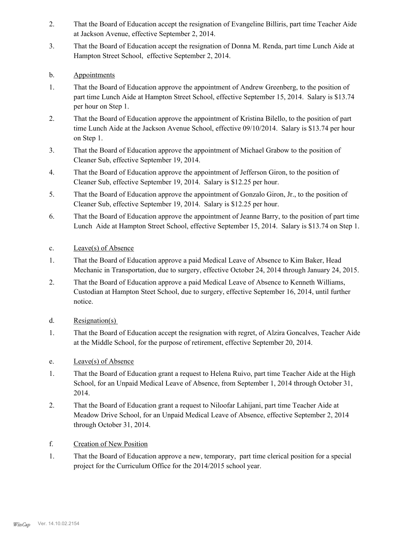- That the Board of Education accept the resignation of Evangeline Billiris, part time Teacher Aide at Jackson Avenue, effective September 2, 2014. 2.
- That the Board of Education accept the resignation of Donna M. Renda, part time Lunch Aide at Hampton Street School, effective September 2, 2014. 3.
- b. Appointments
- That the Board of Education approve the appointment of Andrew Greenberg, to the position of part time Lunch Aide at Hampton Street School, effective September 15, 2014. Salary is \$13.74 per hour on Step 1. 1.
- That the Board of Education approve the appointment of Kristina Bilello, to the position of part time Lunch Aide at the Jackson Avenue School, effective 09/10/2014. Salary is \$13.74 per hour on Step 1. 2.
- That the Board of Education approve the appointment of Michael Grabow to the position of Cleaner Sub, effective September 19, 2014. 3.
- That the Board of Education approve the appointment of Jefferson Giron, to the position of Cleaner Sub, effective September 19, 2014. Salary is \$12.25 per hour. 4.
- That the Board of Education approve the appointment of Gonzalo Giron, Jr., to the position of Cleaner Sub, effective September 19, 2014. Salary is \$12.25 per hour. 5.
- That the Board of Education approve the appointment of Jeanne Barry, to the position of part time Lunch Aide at Hampton Street School, effective September 15, 2014. Salary is \$13.74 on Step 1. 6.
- c. Leave(s) of Absence
- That the Board of Education approve a paid Medical Leave of Absence to Kim Baker, Head Mechanic in Transportation, due to surgery, effective October 24, 2014 through January 24, 2015. 1.
- That the Board of Education approve a paid Medical Leave of Absence to Kenneth Williams, Custodian at Hampton Steet School, due to surgery, effective September 16, 2014, until further notice. 2.
- d. Resignation(s)
- That the Board of Education accept the resignation with regret, of Alzira Goncalves, Teacher Aide at the Middle School, for the purpose of retirement, effective September 20, 2014. 1.
- e. Leave(s) of Absence
- That the Board of Education grant a request to Helena Ruivo, part time Teacher Aide at the High School, for an Unpaid Medical Leave of Absence, from September 1, 2014 through October 31, 2014. 1.
- That the Board of Education grant a request to Niloofar Lahijani, part time Teacher Aide at Meadow Drive School, for an Unpaid Medical Leave of Absence, effective September 2, 2014 through October 31, 2014. 2.
- f. Creation of New Position
- That the Board of Education approve a new, temporary, part time clerical position for a special project for the Curriculum Office for the 2014/2015 school year. 1.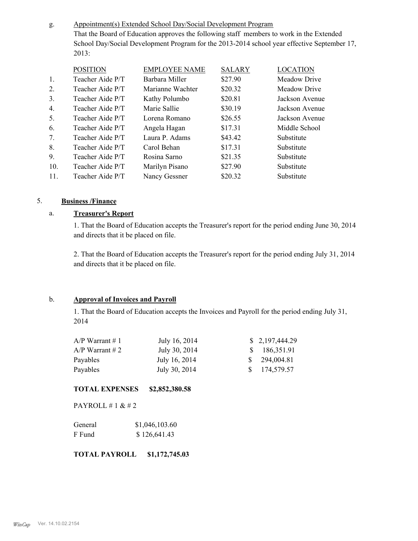Appointment(s) Extended School Day/Social Development Program That the Board of Education approves the following staff members to work in the Extended School Day/Social Development Program for the 2013-2014 school year effective September 17, 2013: g.

| <b>POSITION</b>  | <b>EMPLOYEE NAME</b> | <b>SALARY</b> | <b>LOCATION</b> |
|------------------|----------------------|---------------|-----------------|
| Teacher Aide P/T | Barbara Miller       | \$27.90       | Meadow Drive    |
| Teacher Aide P/T | Marianne Wachter     | \$20.32       | Meadow Drive    |
| Teacher Aide P/T | Kathy Polumbo        | \$20.81       | Jackson Avenue  |
| Teacher Aide P/T | Marie Sallie         | \$30.19       | Jackson Avenue  |
| Teacher Aide P/T | Lorena Romano        | \$26.55       | Jackson Avenue  |
| Teacher Aide P/T | Angela Hagan         | \$17.31       | Middle School   |
| Teacher Aide P/T | Laura P. Adams       | \$43.42       | Substitute      |
| Teacher Aide P/T | Carol Behan          | \$17.31       | Substitute      |
| Teacher Aide P/T | Rosina Sarno         | \$21.35       | Substitute      |
| Teacher Aide P/T | Marilyn Pisano       | \$27.90       | Substitute      |
| Teacher Aide P/T | Nancy Gessner        | \$20.32       | Substitute      |
|                  |                      |               |                 |

#### 5. **Business /Finance**

#### a. **Treasurer's Report**

1. That the Board of Education accepts the Treasurer's report for the period ending June 30, 2014 and directs that it be placed on file.

2. That the Board of Education accepts the Treasurer's report for the period ending July 31, 2014 and directs that it be placed on file.

#### b. **Approval of Invoices and Payroll**

1. That the Board of Education accepts the Invoices and Payroll for the period ending July 31, 2014

| $A/P$ Warrant # 1 | July 16, 2014 | \$2,197,444.29 |
|-------------------|---------------|----------------|
| $A/P$ Warrant # 2 | July 30, 2014 | \$186,351.91   |
| Payables          | July 16, 2014 | \$294,004.81   |
| Payables          | July 30, 2014 | \$174,579.57   |

#### **TOTAL EXPENSES \$2,852,380.58**

PAYROLL # 1 & # 2

| General | \$1,046,103.60 |
|---------|----------------|
| F Fund  | \$126,641.43   |

**TOTAL PAYROLL \$1,172,745.03**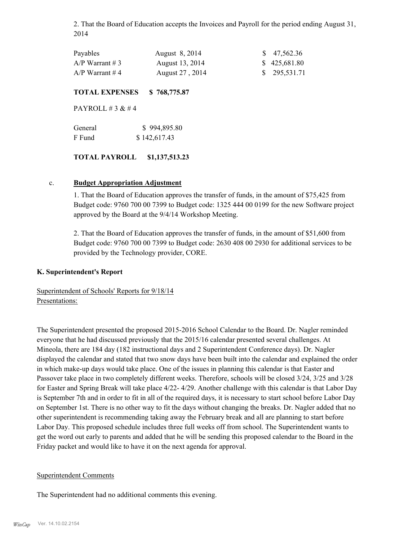2. That the Board of Education accepts the Invoices and Payroll for the period ending August 31, 2014

| Payables          | August 8, 2014  | $\frac{$}{9}$ 47,562.36 |
|-------------------|-----------------|-------------------------|
| $A/P$ Warrant # 3 | August 13, 2014 | \$425,681.80            |
| $A/P$ Warrant #4  | August 27, 2014 | \$295,531.71            |

#### **TOTAL EXPENSES \$ 768,775.87**

PAYROLL  $\#$  3 &  $\#$  4

| General | \$994,895.80 |
|---------|--------------|
| F Fund  | \$142,617.43 |

#### **TOTAL PAYROLL \$1,137,513.23**

#### c. **Budget Appropriation Adjustment**

1. That the Board of Education approves the transfer of funds, in the amount of \$75,425 from Budget code: 9760 700 00 7399 to Budget code: 1325 444 00 0199 for the new Software project approved by the Board at the 9/4/14 Workshop Meeting.

2. That the Board of Education approves the transfer of funds, in the amount of \$51,600 from Budget code: 9760 700 00 7399 to Budget code: 2630 408 00 2930 for additional services to be provided by the Technology provider, CORE.

#### **K. Superintendent's Report**

Superintendent of Schools' Reports for 9/18/14 Presentations:

The Superintendent presented the proposed 2015-2016 School Calendar to the Board. Dr. Nagler reminded everyone that he had discussed previously that the 2015/16 calendar presented several challenges. At Mineola, there are 184 day (182 instructional days and 2 Superintendent Conference days). Dr. Nagler displayed the calendar and stated that two snow days have been built into the calendar and explained the order in which make-up days would take place. One of the issues in planning this calendar is that Easter and Passover take place in two completely different weeks. Therefore, schools will be closed 3/24, 3/25 and 3/28 for Easter and Spring Break will take place 4/22- 4/29. Another challenge with this calendar is that Labor Day is September 7th and in order to fit in all of the required days, it is necessary to start school before Labor Day on September 1st. There is no other way to fit the days without changing the breaks. Dr. Nagler added that no other superintendent is recommending taking away the February break and all are planning to start before Labor Day. This proposed schedule includes three full weeks off from school. The Superintendent wants to get the word out early to parents and added that he will be sending this proposed calendar to the Board in the Friday packet and would like to have it on the next agenda for approval.

#### Superintendent Comments

The Superintendent had no additional comments this evening.